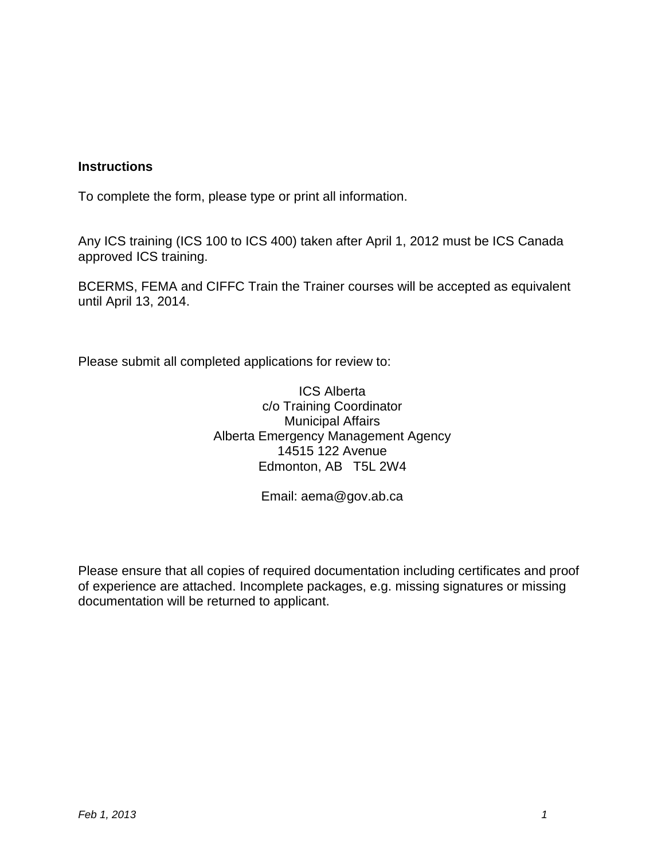#### **Instructions**

To complete the form, please type or print all information.

Any ICS training (ICS 100 to ICS 400) taken after April 1, 2012 must be ICS Canada approved ICS training.

BCERMS, FEMA and CIFFC Train the Trainer courses will be accepted as equivalent until April 13, 2014.

Please submit all completed applications for review to:

ICS Alberta c/o Training Coordinator Municipal Affairs Alberta Emergency Management Agency 14515 122 Avenue Edmonton, AB T5L 2W4

Email: aema@gov.ab.ca

Please ensure that all copies of required documentation including certificates and proof of experience are attached. Incomplete packages, e.g. missing signatures or missing documentation will be returned to applicant.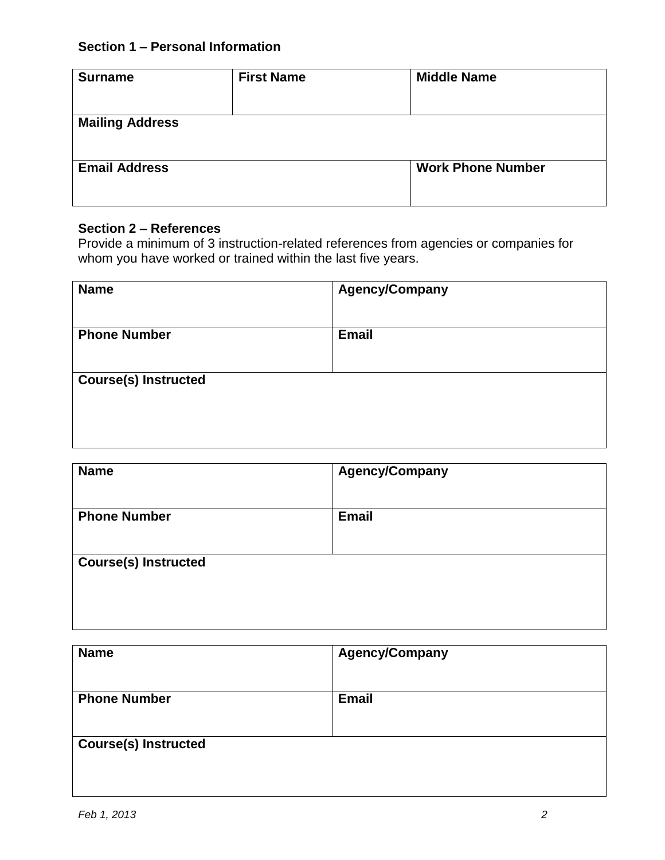## **Section 1 – Personal Information**

| <b>Surname</b>         | <b>First Name</b> | <b>Middle Name</b>       |
|------------------------|-------------------|--------------------------|
| <b>Mailing Address</b> |                   |                          |
| <b>Email Address</b>   |                   | <b>Work Phone Number</b> |
|                        |                   |                          |

## **Section 2 – References**

Provide a minimum of 3 instruction-related references from agencies or companies for whom you have worked or trained within the last five years.

| <b>Name</b>                 | <b>Agency/Company</b> |
|-----------------------------|-----------------------|
| <b>Phone Number</b>         | <b>Email</b>          |
| <b>Course(s) Instructed</b> |                       |
|                             |                       |
|                             |                       |

| <b>Name</b>                 | <b>Agency/Company</b> |
|-----------------------------|-----------------------|
| <b>Phone Number</b>         | <b>Email</b>          |
|                             |                       |
| <b>Course(s) Instructed</b> |                       |
|                             |                       |
|                             |                       |

| <b>Name</b>                 | <b>Agency/Company</b> |
|-----------------------------|-----------------------|
|                             |                       |
| <b>Phone Number</b>         | <b>Email</b>          |
|                             |                       |
|                             |                       |
|                             |                       |
|                             |                       |
|                             |                       |
| <b>Course(s) Instructed</b> |                       |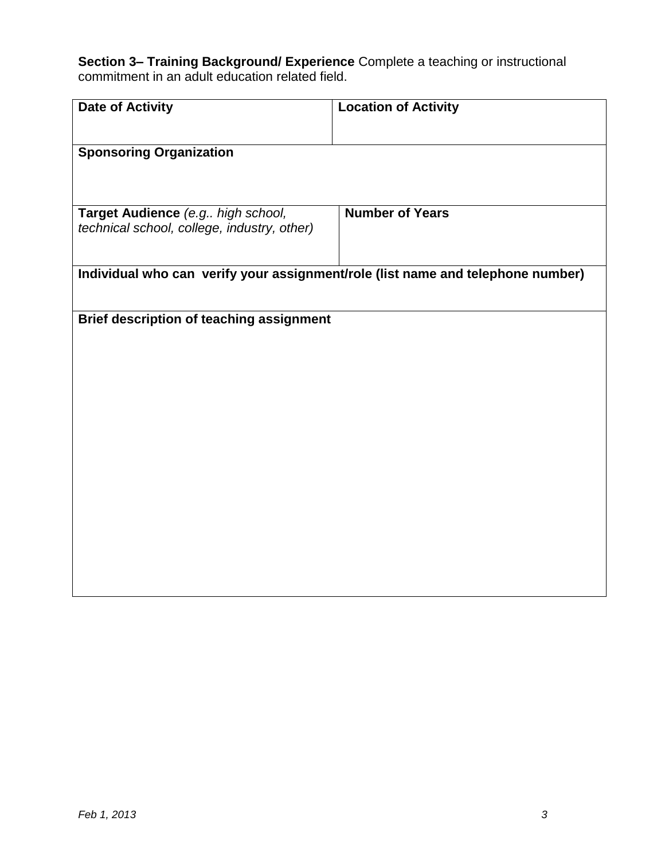**Section 3– Training Background/ Experience** Complete a teaching or instructional commitment in an adult education related field.

| <b>Date of Activity</b>                                                          | <b>Location of Activity</b>                                                     |
|----------------------------------------------------------------------------------|---------------------------------------------------------------------------------|
| <b>Sponsoring Organization</b>                                                   |                                                                                 |
|                                                                                  |                                                                                 |
| Target Audience (e.g high school,<br>technical school, college, industry, other) | <b>Number of Years</b>                                                          |
|                                                                                  |                                                                                 |
|                                                                                  | Individual who can verify your assignment/role (list name and telephone number) |
| Brief description of teaching assignment                                         |                                                                                 |
|                                                                                  |                                                                                 |
|                                                                                  |                                                                                 |
|                                                                                  |                                                                                 |
|                                                                                  |                                                                                 |
|                                                                                  |                                                                                 |
|                                                                                  |                                                                                 |
|                                                                                  |                                                                                 |
|                                                                                  |                                                                                 |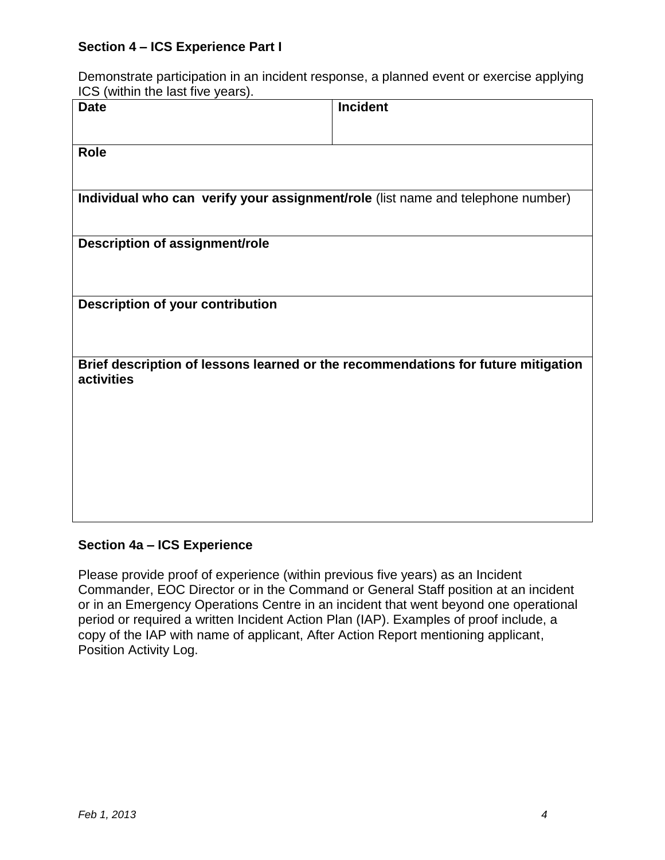#### **Section 4 – ICS Experience Part I**

Demonstrate participation in an incident response, a planned event or exercise applying ICS (within the last five years).

| <b>Date</b>                                                                       | Incident |
|-----------------------------------------------------------------------------------|----------|
|                                                                                   |          |
| Role                                                                              |          |
|                                                                                   |          |
| Individual who can verify your assignment/role (list name and telephone number)   |          |
|                                                                                   |          |
| Description of assignment/role                                                    |          |
|                                                                                   |          |
| <b>Description of your contribution</b>                                           |          |
|                                                                                   |          |
|                                                                                   |          |
| Brief description of lessons learned or the recommendations for future mitigation |          |
| activities                                                                        |          |
|                                                                                   |          |
|                                                                                   |          |
|                                                                                   |          |
|                                                                                   |          |
|                                                                                   |          |
|                                                                                   |          |

#### **Section 4a – ICS Experience**

Please provide proof of experience (within previous five years) as an Incident Commander, EOC Director or in the Command or General Staff position at an incident or in an Emergency Operations Centre in an incident that went beyond one operational period or required a written Incident Action Plan (IAP). Examples of proof include, a copy of the IAP with name of applicant, After Action Report mentioning applicant, Position Activity Log.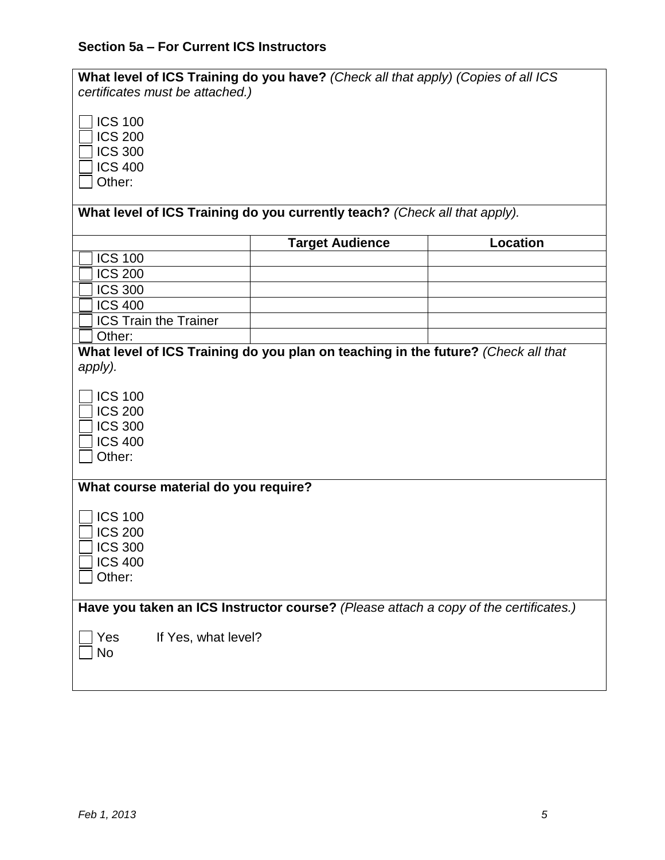# **Section 5a – For Current ICS Instructors**

| What level of ICS Training do you have? (Check all that apply) (Copies of all ICS<br>certificates must be attached.) |                        |                 |
|----------------------------------------------------------------------------------------------------------------------|------------------------|-----------------|
| <b>ICS 100</b><br><b>ICS 200</b><br><b>ICS 300</b><br><b>ICS 400</b><br>Other:                                       |                        |                 |
| What level of ICS Training do you currently teach? (Check all that apply).                                           |                        |                 |
|                                                                                                                      | <b>Target Audience</b> | <b>Location</b> |
| <b>ICS 100</b>                                                                                                       |                        |                 |
| <b>ICS 200</b>                                                                                                       |                        |                 |
| <b>ICS 300</b>                                                                                                       |                        |                 |
| <b>ICS 400</b>                                                                                                       |                        |                 |
| <b>ICS Train the Trainer</b>                                                                                         |                        |                 |
| Other:                                                                                                               |                        |                 |
| What level of ICS Training do you plan on teaching in the future? (Check all that                                    |                        |                 |
| apply).                                                                                                              |                        |                 |
| <b>ICS 100</b><br><b>ICS 200</b><br><b>ICS 300</b><br><b>ICS 400</b><br>Other:                                       |                        |                 |
| What course material do you require?                                                                                 |                        |                 |
| <b>ICS 100</b><br><b>ICS 200</b><br><b>ICS 300</b><br><b>ICS 400</b><br>Other:                                       |                        |                 |
| Have you taken an ICS Instructor course? (Please attach a copy of the certificates.)                                 |                        |                 |
| If Yes, what level?<br>Yes<br><b>No</b>                                                                              |                        |                 |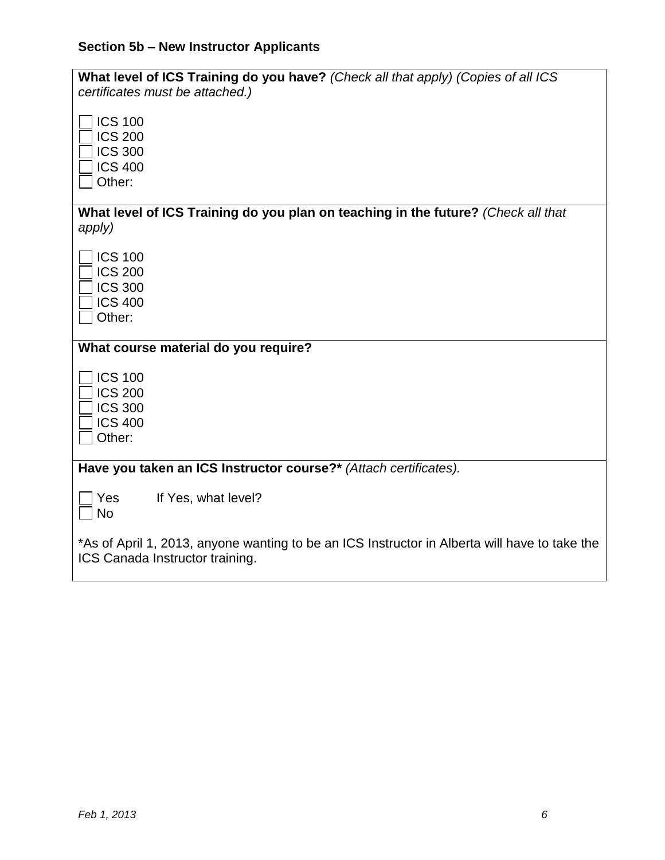# **Section 5b – New Instructor Applicants**

| What level of ICS Training do you have? (Check all that apply) (Copies of all ICS<br>certificates must be attached.)             |  |
|----------------------------------------------------------------------------------------------------------------------------------|--|
| <b>ICS 100</b><br><b>ICS 200</b><br><b>ICS 300</b>                                                                               |  |
| <b>ICS 400</b><br>Other:                                                                                                         |  |
| What level of ICS Training do you plan on teaching in the future? (Check all that<br>apply)                                      |  |
| <b>ICS 100</b><br><b>ICS 200</b><br><b>ICS 300</b><br><b>ICS 400</b><br>Other:                                                   |  |
| What course material do you require?                                                                                             |  |
| <b>ICS 100</b><br><b>ICS 200</b><br><b>ICS 300</b><br><b>ICS 400</b><br>Other:                                                   |  |
| Have you taken an ICS Instructor course?* (Attach certificates).                                                                 |  |
| If Yes, what level?<br>Yes<br><b>No</b>                                                                                          |  |
| *As of April 1, 2013, anyone wanting to be an ICS Instructor in Alberta will have to take the<br>ICS Canada Instructor training. |  |